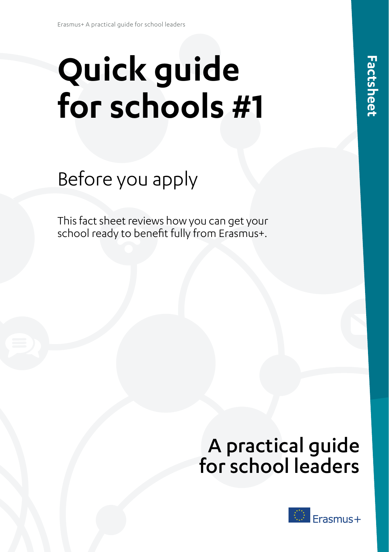# **Quick guide for schools #1**

## Before you apply

This fact sheet reviews how you can get your school ready to benefit fully from Erasmus+.

## A practical guide for school leaders

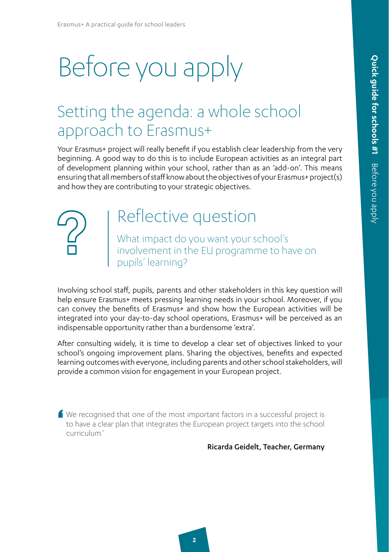# Before you apply

### Setting the agenda: a whole school approach to Erasmus+

Your Erasmus+ project will really benefit if you establish clear leadership from the very beginning. A good way to do this is to include European activities as an integral part of development planning within your school, rather than as an 'add-on'. This means ensuring that all members of staff know about the objectives of your Erasmus+ project(s) and how they are contributing to your strategic objectives.

### Reflective question

What impact do you want your school's involvement in the EU programme to have on pupils' learning?

Involving school staff, pupils, parents and other stakeholders in this key question will help ensure Erasmus+ meets pressing learning needs in your school. Moreover, if you can convey the benefits of Erasmus+ and show how the European activities will be integrated into your day-to-day school operations, Erasmus+ will be perceived as an indispensable opportunity rather than a burdensome 'extra'.

After consulting widely, it is time to develop a clear set of objectives linked to your school's ongoing improvement plans. Sharing the objectives, benefits and expected learning outcomes with everyone, including parents and other school stakeholders, will provide a common vision for engagement in your European project.

' We recognised that one of the most important factors in a successful project is to have a clear plan that integrates the European project targets into the school curriculum.'

Ricarda Geidelt, Teacher, Germany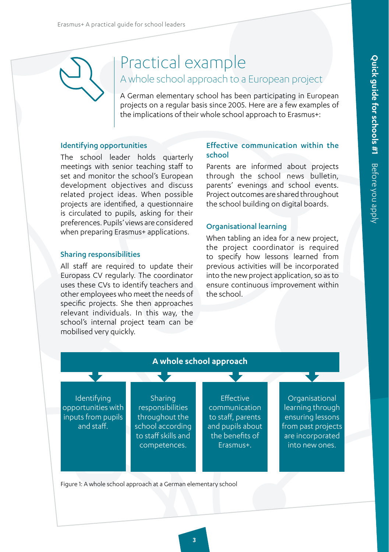### Practical example A whole school approach to a European project

A German elementary school has been participating in European projects on a regular basis since 2005. Here are a few examples of the implications of their whole school approach to Erasmus+:

#### Identifying opportunities

The school leader holds quarterly meetings with senior teaching staff to set and monitor the school's European development objectives and discuss related project ideas. When possible projects are identified, a questionnaire is circulated to pupils, asking for their preferences. Pupils' views are considered when preparing Erasmus+ applications.

#### Sharing responsibilities

All staff are required to update their Europass CV regularly. The coordinator uses these CVs to identify teachers and other employees who meet the needs of specific projects. She then approaches relevant individuals. In this way, the school's internal project team can be mobilised very quickly.

#### Effective communication within the school

Parents are informed about projects through the school news bulletin, parents' evenings and school events. Project outcomes are shared throughout the school building on digital boards.

#### Organisational learning

When tabling an idea for a new project, the project coordinator is required to specify how lessons learned from previous activities will be incorporated into the new project application, so as to ensure continuous improvement within the school.



**3**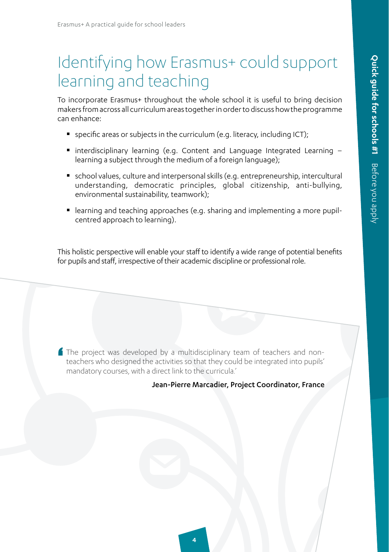### Identifying how Erasmus+ could support learning and teaching

To incorporate Erasmus+ throughout the whole school it is useful to bring decision makers from across all curriculum areas together in order to discuss how the programme can enhance:

- specific areas or subjects in the curriculum (e.g. literacy, including ICT);
- $\blacksquare$  interdisciplinary learning (e.g. Content and Language Integrated Learning learning a subject through the medium of a foreign language);
- school values, culture and interpersonal skills (e.g. entrepreneurship, intercultural understanding, democratic principles, global citizenship, anti-bullying, environmental sustainability, teamwork);
- learning and teaching approaches (e.g. sharing and implementing a more pupilcentred approach to learning).

This holistic perspective will enable your staff to identify a wide range of potential benefits for pupils and staff, irrespective of their academic discipline or professional role.

' The project was developed by a multidisciplinary team of teachers and nonteachers who designed the activities so that they could be integrated into pupils' mandatory courses, with a direct link to the curricula.'

#### Jean-Pierre Marcadier, Project Coordinator, France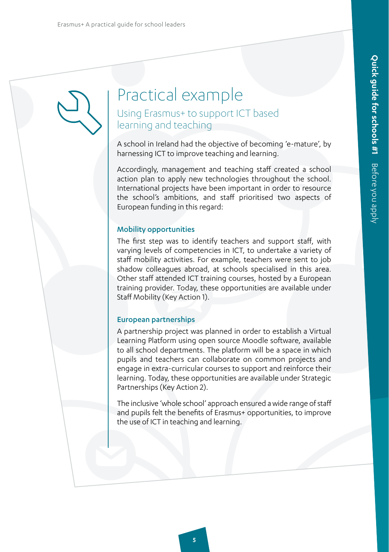### Practical example Using Erasmus+ to support ICT based learning and teaching

A school in Ireland had the objective of becoming 'e-mature', by harnessing ICT to improve teaching and learning.

Accordingly, management and teaching staff created a school action plan to apply new technologies throughout the school. International projects have been important in order to resource the school's ambitions, and staff prioritised two aspects of European funding in this regard:

#### Mobility opportunities

The first step was to identify teachers and support staff, with varying levels of competencies in ICT, to undertake a variety of staff mobility activities. For example, teachers were sent to job shadow colleagues abroad, at schools specialised in this area. Other staff attended ICT training courses, hosted by a European training provider. Today, these opportunities are available under Staff Mobility (Key Action 1).

#### European partnerships

A partnership project was planned in order to establish a Virtual Learning Platform using open source Moodle software, available to all school departments. The platform will be a space in which pupils and teachers can collaborate on common projects and engage in extra-curricular courses to support and reinforce their learning. Today, these opportunities are available under Strategic Partnerships (Key Action 2).

The inclusive 'whole school' approach ensured a wide range of staff and pupils felt the benefits of Erasmus+ opportunities, to improve the use of ICT in teaching and learning.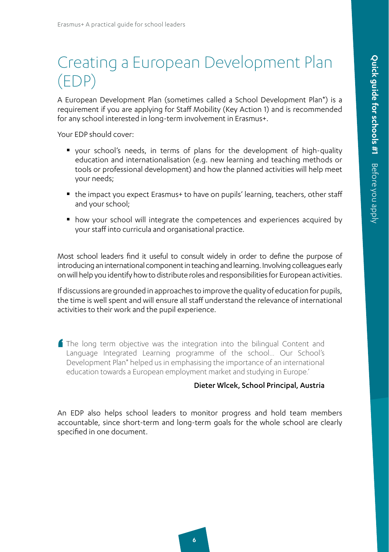### Creating a European Development Plan (EDP)

A European Development Plan (sometimes called a School Development Plan\*) is a requirement if you are applying for Staff Mobility (Key Action 1) and is recommended for any school interested in long-term involvement in Erasmus+.

Your EDP should cover:

- your school's needs, in terms of plans for the development of high-quality education and internationalisation (e.g. new learning and teaching methods or tools or professional development) and how the planned activities will help meet your needs;
- the impact you expect Erasmus+ to have on pupils' learning, teachers, other staff and your school;
- how your school will integrate the competences and experiences acquired by your staff into curricula and organisational practice.

Most school leaders find it useful to consult widely in order to define the purpose of introducing an international component in teaching and learning. Involving colleagues early on will help you identify how to distribute roles and responsibilities for European activities.

If discussions are grounded in approaches to improve the quality of education for pupils, the time is well spent and will ensure all staff understand the relevance of international activities to their work and the pupil experience.

' The long term objective was the integration into the bilingual Content and Language Integrated Learning programme of the school… Our School's Development Plan\* helped us in emphasising the importance of an international education towards a European employment market and studying in Europe.'

#### Dieter Wlcek, School Principal, Austria

An EDP also helps school leaders to monitor progress and hold team members accountable, since short-term and long-term goals for the whole school are clearly specified in one document.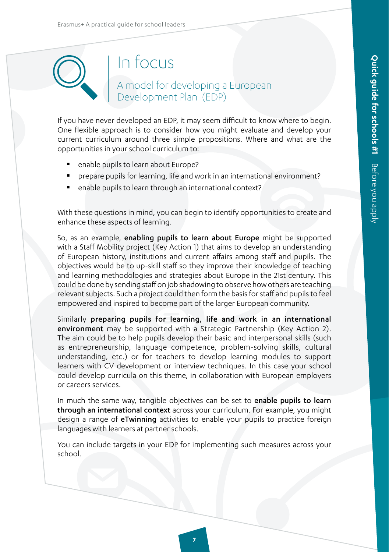### In focus

### A model for developing a European Development Plan (EDP)

If you have never developed an EDP, it may seem difficult to know where to begin. One flexible approach is to consider how you might evaluate and develop your current curriculum around three simple propositions. Where and what are the opportunities in your school curriculum to:

- enable pupils to learn about Europe?
- prepare pupils for learning, life and work in an international environment?
- enable pupils to learn through an international context?

With these questions in mind, you can begin to identify opportunities to create and enhance these aspects of learning.

So, as an example, enabling pupils to learn about Europe might be supported with a Staff Mobility project (Key Action 1) that aims to develop an understanding of European history, institutions and current affairs among staff and pupils. The objectives would be to up-skill staff so they improve their knowledge of teaching and learning methodologies and strategies about Europe in the 21st century. This could be done by sending staff on job shadowing to observe how others are teaching relevant subjects. Such a project could then form the basis for staff and pupils to feel empowered and inspired to become part of the larger European community.

Similarly preparing pupils for learning, life and work in an international environment may be supported with a Strategic Partnership (Key Action 2). The aim could be to help pupils develop their basic and interpersonal skills (such as entrepreneurship, language competence, problem-solving skills, cultural understanding, etc.) or for teachers to develop learning modules to support learners with CV development or interview techniques. In this case your school could develop curricula on this theme, in collaboration with European employers or careers services.

In much the same way, tangible objectives can be set to enable pupils to learn through an international context across your curriculum. For example, you might design a range of eTwinning activities to enable your pupils to practice foreign languages with learners at partner schools.

You can include targets in your EDP for implementing such measures across your school.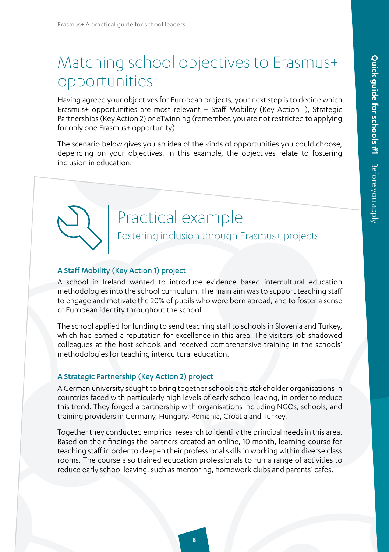### Matching school objectives to Erasmus+ opportunities

Having agreed your objectives for European projects, your next step is to decide which Erasmus+ opportunities are most relevant – Staff Mobility (Key Action 1), Strategic Partnerships (Key Action 2) or eTwinning (remember, you are not restricted to applying for only one Erasmus+ opportunity).

The scenario below gives you an idea of the kinds of opportunities you could choose, depending on your objectives. In this example, the objectives relate to fostering inclusion in education:

### Practical example

Fostering inclusion through Erasmus+ projects

#### A Staff Mobility (Key Action 1) project

A school in Ireland wanted to introduce evidence based intercultural education methodologies into the school curriculum. The main aim was to support teaching staff to engage and motivate the 20% of pupils who were born abroad, and to foster a sense of European identity throughout the school.

The school applied for funding to send teaching staff to schools in Slovenia and Turkey, which had earned a reputation for excellence in this area. The visitors job shadowed colleagues at the host schools and received comprehensive training in the schools' methodologies for teaching intercultural education.

#### A Strategic Partnership (Key Action 2) project

A German university sought to bring together schools and stakeholder organisations in countries faced with particularly high levels of early school leaving, in order to reduce this trend. They forged a partnership with organisations including NGOs, schools, and training providers in Germany, Hungary, Romania, Croatia and Turkey.

Together they conducted empirical research to identify the principal needs in this area. Based on their findings the partners created an online, 10 month, learning course for teaching staff in order to deepen their professional skills in working within diverse class rooms. The course also trained education professionals to run a range of activities to reduce early school leaving, such as mentoring, homework clubs and parents' cafes.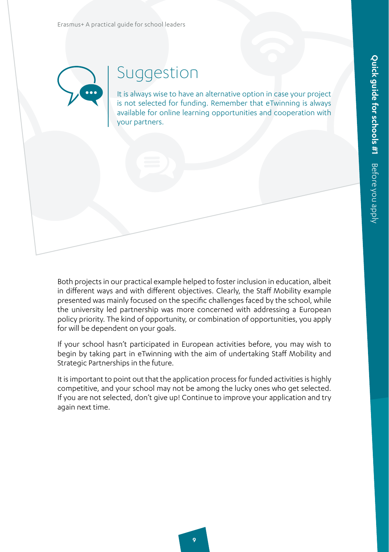Erasmus+ A practical guide for school leaders



### Suggestion

It is always wise to have an alternative option in case your project is not selected for funding. Remember that eTwinning is always available for online learning opportunities and cooperation with your partners.

Both projects in our practical example helped to foster inclusion in education, albeit in different ways and with different objectives. Clearly, the Staff Mobility example presented was mainly focused on the specific challenges faced by the school, while the university led partnership was more concerned with addressing a European policy priority. The kind of opportunity, or combination of opportunities, you apply for will be dependent on your goals.

If your school hasn't participated in European activities before, you may wish to begin by taking part in eTwinning with the aim of undertaking Staff Mobility and Strategic Partnerships in the future.

It is important to point out that the application process for funded activities is highly competitive, and your school may not be among the lucky ones who get selected. If you are not selected, don't give up! Continue to improve your application and try again next time.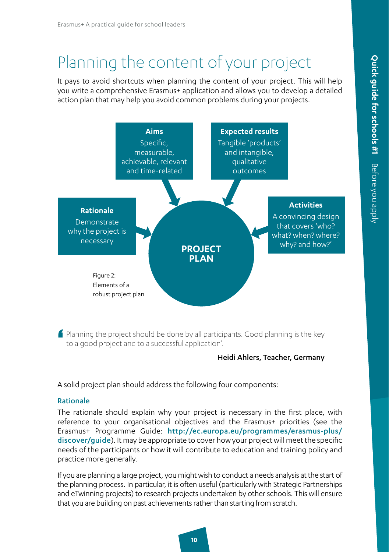### Planning the content of your project

It pays to avoid shortcuts when planning the content of your project. This will help you write a comprehensive Erasmus+ application and allows you to develop a detailed action plan that may help you avoid common problems during your projects.



' Planning the project should be done by all participants. Good planning is the key to a good project and to a successful application'.

#### Heidi Ahlers, Teacher, Germany

A solid project plan should address the following four components:

#### Rationale

The rationale should explain why your project is necessary in the first place, with reference to your organisational objectives and the Erasmus+ priorities (see the Erasmus+ Programme Guide: [http://ec.europa.eu/programmes/erasmus-plus/](http://ec.europa.eu/programmes/erasmus-plus/discover/guide) [discover/guide](http://ec.europa.eu/programmes/erasmus-plus/discover/guide)). It may be appropriate to cover how your project will meet the specific needs of the participants or how it will contribute to education and training policy and practice more generally.

If you are planning a large project, you might wish to conduct a needs analysis at the start of the planning process. In particular, it is often useful (particularly with Strategic Partnerships and eTwinning projects) to research projects undertaken by other schools. This will ensure that you are building on past achievements rather than starting from scratch.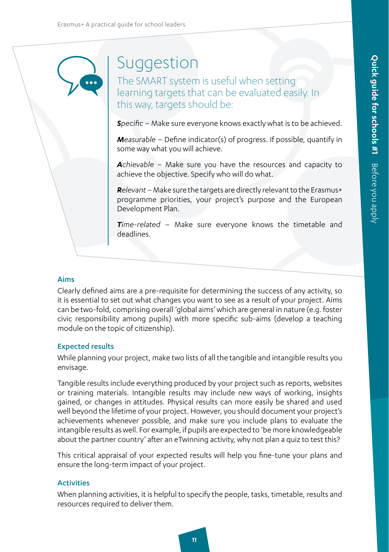### Suggestion

The SMART system is useful when setting learning targets that can be evaluated easily. In this way, targets should be:

*Specific* – Make sure everyone knows exactly what is to be achieved.

*Measurable* – Define indicator(s) of progress. If possible, quantify in some way what you will achieve.

*Achievable* – Make sure you have the resources and capacity to achieve the objective. Specify who will do what.

*Relevant* – Make sure the targets are directly relevant to the Erasmus+ programme priorities, your project's purpose and the European Development Plan.

*Time-related* – Make sure everyone knows the timetable and deadlines.

#### Aims

Clearly defined aims are a pre-requisite for determining the success of any activity, so it is essential to set out what changes you want to see as a result of your project. Aims can be two-fold, comprising overall 'global aims' which are general in nature (e.g. foster civic responsibility among pupils) with more specific sub-aims (develop a teaching module on the topic of citizenship).

#### Expected results

While planning your project, make two lists of all the tangible and intangible results you envisage.

Tangible results include everything produced by your project such as reports, websites or training materials. Intangible results may include new ways of working, insights gained, or changes in attitudes. Physical results can more easily be shared and used well beyond the lifetime of your project. However, you should document your project's achievements whenever possible, and make sure you include plans to evaluate the intangible results as well. For example, if pupils are expected to 'be more knowledgeable about the partner country' after an eTwinning activity, why not plan a quiz to test this?

This critical appraisal of your expected results will help you fine-tune your plans and ensure the long-term impact of your project.

#### **Activities**

When planning activities, it is helpful to specify the people, tasks, timetable, results and resources required to deliver them.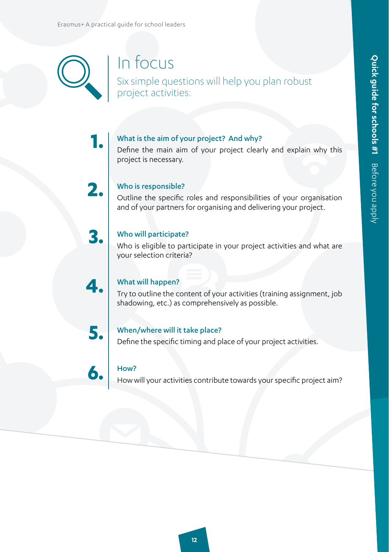

### In focus

Six simple questions will help you plan robust project activities:

### What is the aim of your project? And why?

Define the main aim of your project clearly and explain why this project is necessary.



**3.**

**4.**

**1.**

#### Who is responsible?

Outline the specific roles and responsibilities of your organisation and of your partners for organising and delivering your project.

### Who will participate?

Who is eligible to participate in your project activities and what are your selection criteria?

#### What will happen?

Try to outline the content of your activities (training assignment, job shadowing, etc.) as comprehensively as possible.



**6.**

#### When/where will it take place?

Define the specific timing and place of your project activities.

#### How?

How will your activities contribute towards your specific project aim?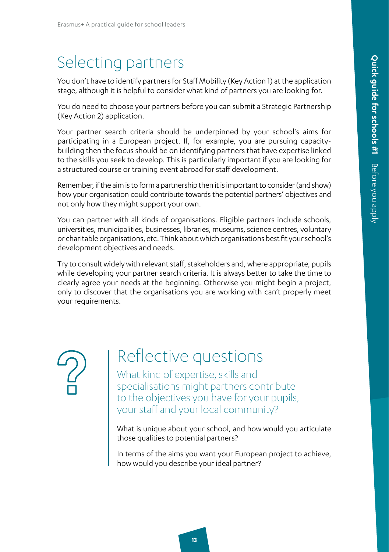### Selecting partners

You don't have to identify partners for Staff Mobility (Key Action 1) at the application stage, although it is helpful to consider what kind of partners you are looking for.

You do need to choose your partners before you can submit a Strategic Partnership (Key Action 2) application.

Your partner search criteria should be underpinned by your school's aims for participating in a European project. If, for example, you are pursuing capacitybuilding then the focus should be on identifying partners that have expertise linked to the skills you seek to develop. This is particularly important if you are looking for a structured course or training event abroad for staff development.

Remember, if the aim is to form a partnership then it is important to consider (and show) how your organisation could contribute towards the potential partners' objectives and not only how they might support your own.

You can partner with all kinds of organisations. Eligible partners include schools, universities, municipalities, businesses, libraries, museums, science centres, voluntary or charitable organisations, etc. Think about which organisations best fit your school's development objectives and needs.

Try to consult widely with relevant staff, stakeholders and, where appropriate, pupils while developing your partner search criteria. It is always better to take the time to clearly agree your needs at the beginning. Otherwise you might begin a project, only to discover that the organisations you are working with can't properly meet your requirements.

### Reflective questions

What kind of expertise, skills and specialisations might partners contribute to the objectives you have for your pupils, your staff and your local community?

What is unique about your school, and how would you articulate those qualities to potential partners?

In terms of the aims you want your European project to achieve, how would you describe your ideal partner?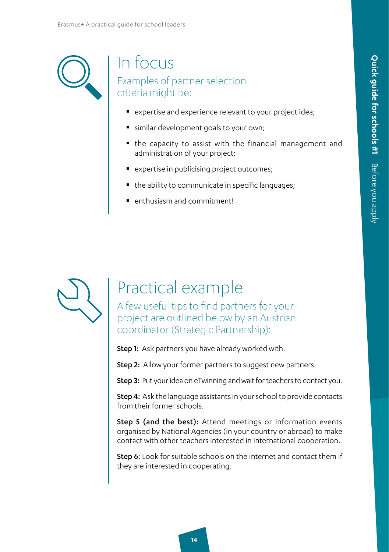### In focus Examples of partner selection criteria might be:

- **E** expertise and experience relevant to your project idea;
- similar development goals to your own;
- the capacity to assist with the financial management and administration of your project;
- **P** expertise in publicising project outcomes;
- the ability to communicate in specific languages;
- enthusiasm and commitment!



### Practical example

A few useful tips to find partners for your project are outlined below by an Austrian coordinator (Strategic Partnership):

Step 1: Ask partners you have already worked with.

Step 2: Allow your former partners to suggest new partners.

Step 3: Put your idea on eTwinning and wait for teachers to contact you.

Step 4: Ask the language assistants in your school to provide contacts from their former schools.

Step 5 (and the best): Attend meetings or information events organised by National Agencies (in your country or abroad) to make contact with other teachers interested in international cooperation.

Step 6: Look for suitable schools on the internet and contact them if they are interested in cooperating.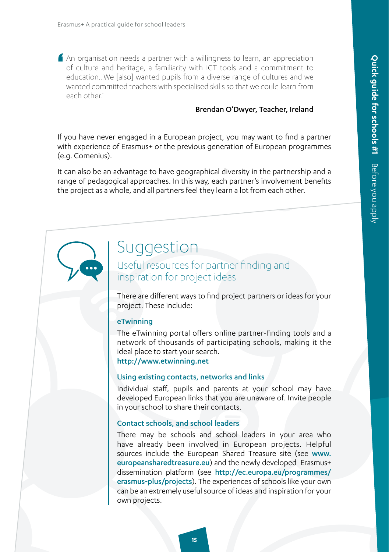' An organisation needs a partner with a willingness to learn, an appreciation of culture and heritage, a familiarity with ICT tools and a commitment to education…We [also] wanted pupils from a diverse range of cultures and we wanted committed teachers with specialised skills so that we could learn from each other<sup>'</sup>

#### Brendan O'Dwyer, Teacher, Ireland

If you have never engaged in a European project, you may want to find a partner with experience of Erasmus+ or the previous generation of European programmes (e.g. Comenius).

It can also be an advantage to have geographical diversity in the partnership and a range of pedagogical approaches. In this way, each partner's involvement benefits the project as a whole, and all partners feel they learn a lot from each other.

### Suggestion

Useful resources for partner finding and inspiration for project ideas

There are different ways to find project partners or ideas for your project. These include:

#### eTwinning

The eTwinning portal offers online partner-finding tools and a network of thousands of participating schools, making it the ideal place to start your search. [http://www.etwinning.net](http://www.etwinning.net ) 

#### Using existing contacts, networks and links

Individual staff, pupils and parents at your school may have developed European links that you are unaware of. Invite people in your school to share their contacts.

#### Contact schools, and school leaders

There may be schools and school leaders in your area who have already been involved in European projects. Helpful sources include the European Shared Treasure site (see [www.](http://www.europeansharedtreasure.eu) [europeansharedtreasure.eu](http://www.europeansharedtreasure.eu)) and the newly developed Erasmus+ dissemination platform (see [http://ec.europa.eu/programmes/](http://ec.europa.eu/programmes/erasmus-plus/projects/) [erasmus-plus/projects](http://ec.europa.eu/programmes/erasmus-plus/projects/)). The experiences of schools like your own can be an extremely useful source of ideas and inspiration for your own projects.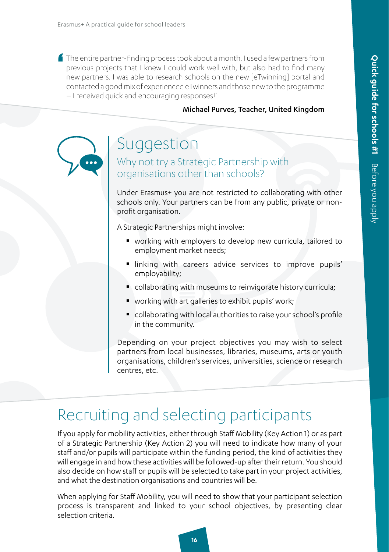' The entire partner-finding process took about a month. I used a few partners from previous projects that I knew I could work well with, but also had to find many new partners. I was able to research schools on the new [eTwinning] portal and contacted a good mix of experienced eTwinners and those new to the programme – I received quick and encouraging responses!'

#### Michael Purves, Teacher, United Kingdom

### Suggestion

Why not try a Strategic Partnership with organisations other than schools?

Under Erasmus+ you are not restricted to collaborating with other schools only. Your partners can be from any public, private or nonprofit organisation.

A Strategic Partnerships might involve:

- working with employers to develop new curricula, tailored to employment market needs;
- linking with careers advice services to improve pupils' employability;
- **Collaborating with museums to reinvigorate history curricula;**
- working with art galleries to exhibit pupils' work;
- collaborating with local authorities to raise your school's profile in the community.

Depending on your project objectives you may wish to select partners from local businesses, libraries, museums, arts or youth organisations, children's services, universities, science or research centres, etc.

### Recruiting and selecting participants

If you apply for mobility activities, either through Staff Mobility (Key Action 1) or as part of a Strategic Partnership (Key Action 2) you will need to indicate how many of your staff and/or pupils will participate within the funding period, the kind of activities they will engage in and how these activities will be followed-up after their return. You should also decide on how staff or pupils will be selected to take part in your project activities, and what the destination organisations and countries will be.

When applying for Staff Mobility, you will need to show that your participant selection process is transparent and linked to your school objectives, by presenting clear selection criteria.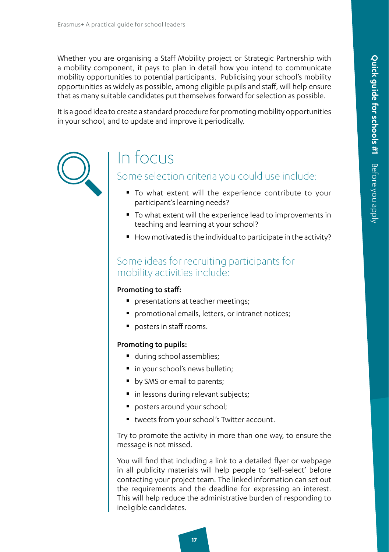Whether you are organising a Staff Mobility project or Strategic Partnership with a mobility component, it pays to plan in detail how you intend to communicate mobility opportunities to potential participants. Publicising your school's mobility opportunities as widely as possible, among eligible pupils and staff, will help ensure that as many suitable candidates put themselves forward for selection as possible.

It is a good idea to create a standard procedure for promoting mobility opportunities in your school, and to update and improve it periodically.



### In focus

### Some selection criteria you could use include:

- To what extent will the experience contribute to your participant's learning needs?
- To what extent will the experience lead to improvements in teaching and learning at your school?
- $\blacksquare$  How motivated is the individual to participate in the activity?

### Some ideas for recruiting participants for mobility activities include:

#### Promoting to staff:

- **P** presentations at teacher meetings;
- **P** promotional emails, letters, or intranet notices;
- **P** posters in staff rooms.

#### Promoting to pupils:

- **during school assemblies;**
- in your school's news bulletin;
- by SMS or email to parents;
- **in lessons during relevant subjects;**
- **P** posters around your school;
- tweets from your school's Twitter account.

Try to promote the activity in more than one way, to ensure the message is not missed.

You will find that including a link to a detailed flyer or webpage in all publicity materials will help people to 'self-select' before contacting your project team. The linked information can set out the requirements and the deadline for expressing an interest. This will help reduce the administrative burden of responding to ineligible candidates.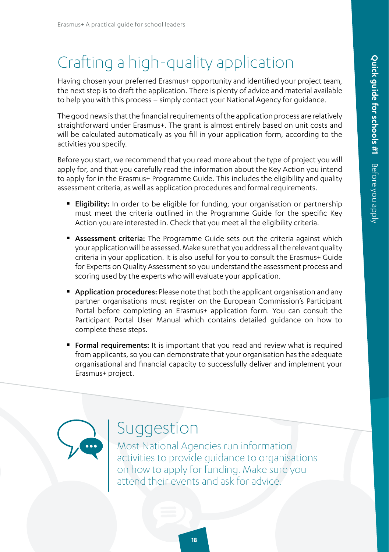### Crafting a high-quality application

Having chosen your preferred Erasmus+ opportunity and identified your project team, the next step is to draft the application. There is plenty of advice and material available to help you with this process – simply contact your National Agency for guidance.

The good news is that the financial requirements of the application process are relatively straightforward under Erasmus+. The grant is almost entirely based on unit costs and will be calculated automatically as you fill in your application form, according to the activities you specify.

Before you start, we recommend that you read more about the type of project you will apply for, and that you carefully read the information about the Key Action you intend to apply for in the Erasmus+ Programme Guide. This includes the eligibility and quality assessment criteria, as well as application procedures and formal requirements.

- **Eligibility:** In order to be eligible for funding, your organisation or partnership must meet the criteria outlined in the Programme Guide for the specific Key Action you are interested in. Check that you meet all the eligibility criteria.
- **Assessment criteria:** The Programme Guide sets out the criteria against which your application will be assessed. Make sure that you address all the relevant quality criteria in your application. It is also useful for you to consult the Erasmus+ Guide for Experts on Quality Assessment so you understand the assessment process and scoring used by the experts who will evaluate your application.
- **Application procedures:** Please note that both the applicant organisation and any partner organisations must register on the European Commission's Participant Portal before completing an Erasmus+ application form. You can consult the Participant Portal User Manual which contains detailed guidance on how to complete these steps.
- **Formal requirements:** It is important that you read and review what is required from applicants, so you can demonstrate that your organisation has the adequate organisational and financial capacity to successfully deliver and implement your Erasmus+ project.

### Suggestion

Most National Agencies run information activities to provide guidance to organisations on how to apply for funding. Make sure you attend their events and ask for advice.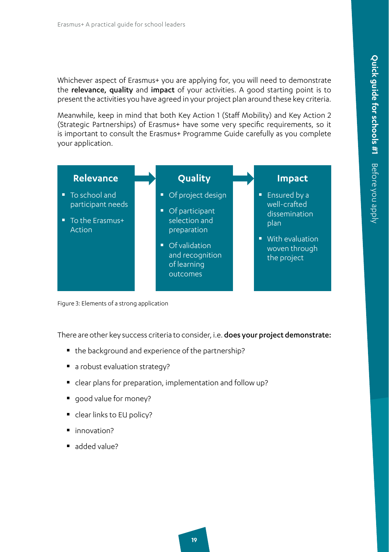Whichever aspect of Erasmus+ you are applying for, you will need to demonstrate the relevance, quality and impact of your activities. A good starting point is to present the activities you have agreed in your project plan around these key criteria.

Meanwhile, keep in mind that both Key Action 1 (Staff Mobility) and Key Action 2 (Strategic Partnerships) of Erasmus+ have some very specific requirements, so it is important to consult the Erasmus+ Programme Guide carefully as you complete your application.



Figure 3: Elements of a strong application

There are other key success criteria to consider, i.e. does your project demonstrate:

- the background and experience of the partnership?
- a robust evaluation strategy?
- clear plans for preparation, implementation and follow up?
- good value for money?
- clear links to EU policy?
- innovation?
- added value?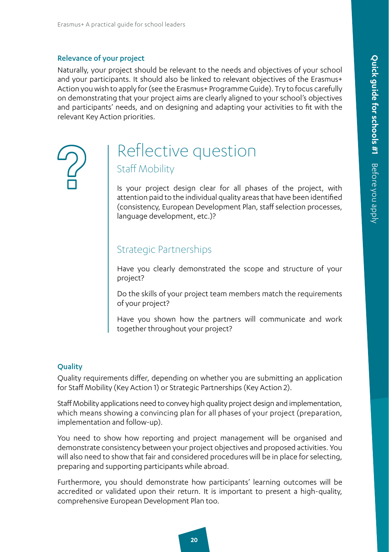#### Relevance of your project

Naturally, your project should be relevant to the needs and objectives of your school and your participants. It should also be linked to relevant objectives of the Erasmus+ Action you wish to apply for (see the Erasmus+ Programme Guide). Try to focus carefully on demonstrating that your project aims are clearly aligned to your school's objectives and participants' needs, and on designing and adapting your activities to fit with the relevant Key Action priorities.

### Reflective question Staff Mobility

Is your project design clear for all phases of the project, with attention paid to the individual quality areas that have been identified (consistency, European Development Plan, staff selection processes, language development, etc.)?

### Strategic Partnerships

Have you clearly demonstrated the scope and structure of your project?

Do the skills of your project team members match the requirements of your project?

Have you shown how the partners will communicate and work together throughout your project?

#### **Quality**

Quality requirements differ, depending on whether you are submitting an application for Staff Mobility (Key Action 1) or Strategic Partnerships (Key Action 2).

Staff Mobility applications need to convey high quality project design and implementation, which means showing a convincing plan for all phases of your project (preparation, implementation and follow-up).

You need to show how reporting and project management will be organised and demonstrate consistency between your project objectives and proposed activities. You will also need to show that fair and considered procedures will be in place for selecting, preparing and supporting participants while abroad.

Furthermore, you should demonstrate how participants' learning outcomes will be accredited or validated upon their return. It is important to present a high-quality, comprehensive European Development Plan too.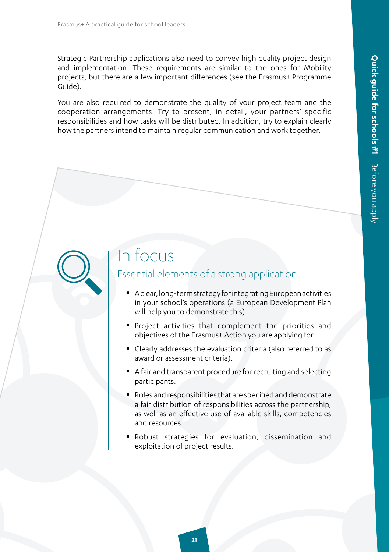Strategic Partnership applications also need to convey high quality project design and implementation. These requirements are similar to the ones for Mobility projects, but there are a few important differences (see the Erasmus+ Programme Guide).

You are also required to demonstrate the quality of your project team and the cooperation arrangements. Try to present, in detail, your partners' specific responsibilities and how tasks will be distributed. In addition, try to explain clearly how the partners intend to maintain regular communication and work together.

### In focus

### Essential elements of a strong application

- A clear, long-term strategy for integrating European activities in your school's operations (a European Development Plan will help you to demonstrate this).
- Project activities that complement the priorities and objectives of the Erasmus+ Action you are applying for.
- Clearly addresses the evaluation criteria (also referred to as award or assessment criteria).
- A fair and transparent procedure for recruiting and selecting participants.
- Roles and responsibilities that are specified and demonstrate a fair distribution of responsibilities across the partnership, as well as an effective use of available skills, competencies and resources.
- Robust strategies for evaluation, dissemination and exploitation of project results.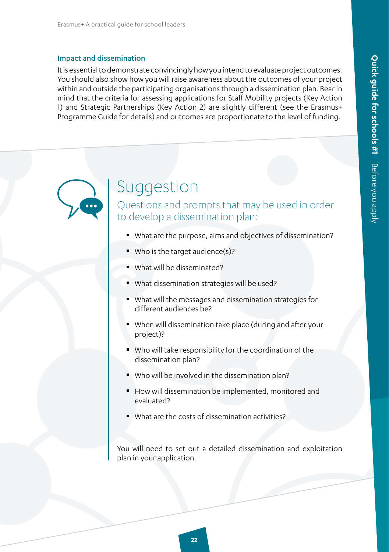#### Impact and dissemination

It is essential to demonstrate convincingly how you intend to evaluate project outcomes. You should also show how you will raise awareness about the outcomes of your project within and outside the participating organisations through a dissemination plan. Bear in mind that the criteria for assessing applications for Staff Mobility projects (Key Action 1) and Strategic Partnerships (Key Action 2) are slightly different (see the Erasmus+ Programme Guide for details) and outcomes are proportionate to the level of funding.

### Suggestion

Questions and prompts that may be used in order to develop a dissemination plan:

- What are the purpose, aims and objectives of dissemination?
- Who is the target audience(s)?
- What will be disseminated?
- What dissemination strategies will be used?
- What will the messages and dissemination strategies for different audiences be?
- When will dissemination take place (during and after your project)?
- Who will take responsibility for the coordination of the dissemination plan?
- Who will be involved in the dissemination plan?
- How will dissemination be implemented, monitored and evaluated?
- What are the costs of dissemination activities?

You will need to set out a detailed dissemination and exploitation plan in your application.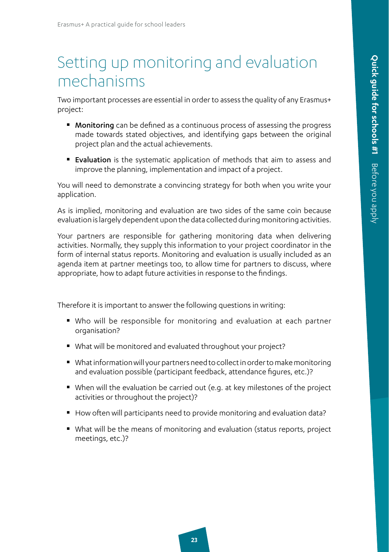### Setting up monitoring and evaluation mechanisms

Two important processes are essential in order to assess the quality of any Erasmus+ project:

- **Monitoring** can be defined as a continuous process of assessing the progress made towards stated objectives, and identifying gaps between the original project plan and the actual achievements.
- **Exaluation** is the systematic application of methods that aim to assess and improve the planning, implementation and impact of a project.

You will need to demonstrate a convincing strategy for both when you write your application.

As is implied, monitoring and evaluation are two sides of the same coin because evaluation is largely dependent upon the data collected during monitoring activities.

Your partners are responsible for gathering monitoring data when delivering activities. Normally, they supply this information to your project coordinator in the form of internal status reports. Monitoring and evaluation is usually included as an agenda item at partner meetings too, to allow time for partners to discuss, where appropriate, how to adapt future activities in response to the findings.

Therefore it is important to answer the following questions in writing:

- Who will be responsible for monitoring and evaluation at each partner organisation?
- What will be monitored and evaluated throughout your project?
- What information will your partners need to collect in order to make monitoring and evaluation possible (participant feedback, attendance figures, etc.)?
- When will the evaluation be carried out (e.g. at key milestones of the project activities or throughout the project)?
- How often will participants need to provide monitoring and evaluation data?
- What will be the means of monitoring and evaluation (status reports, project meetings, etc.)?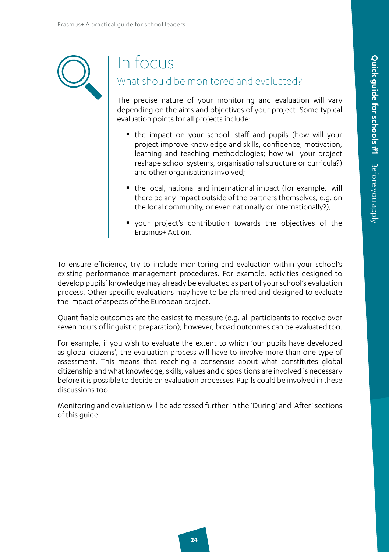

### In focus

### What should be monitored and evaluated?

The precise nature of your monitoring and evaluation will vary depending on the aims and objectives of your project. Some typical evaluation points for all projects include:

- the impact on your school, staff and pupils (how will your project improve knowledge and skills, confidence, motivation, learning and teaching methodologies; how will your project reshape school systems, organisational structure or curricula?) and other organisations involved;
- the local, national and international impact (for example, will there be any impact outside of the partners themselves, e.g. on the local community, or even nationally or internationally?);
- your project's contribution towards the objectives of the Erasmus+ Action.

To ensure efficiency, try to include monitoring and evaluation within your school's existing performance management procedures. For example, activities designed to develop pupils' knowledge may already be evaluated as part of your school's evaluation process. Other specific evaluations may have to be planned and designed to evaluate the impact of aspects of the European project.

Quantifiable outcomes are the easiest to measure (e.g. all participants to receive over seven hours of linguistic preparation); however, broad outcomes can be evaluated too.

For example, if you wish to evaluate the extent to which 'our pupils have developed as global citizens', the evaluation process will have to involve more than one type of assessment. This means that reaching a consensus about what constitutes global citizenship and what knowledge, skills, values and dispositions are involved is necessary before it is possible to decide on evaluation processes. Pupils could be involved in these discussions too.

Monitoring and evaluation will be addressed further in the 'During' and 'After' sections of this guide.